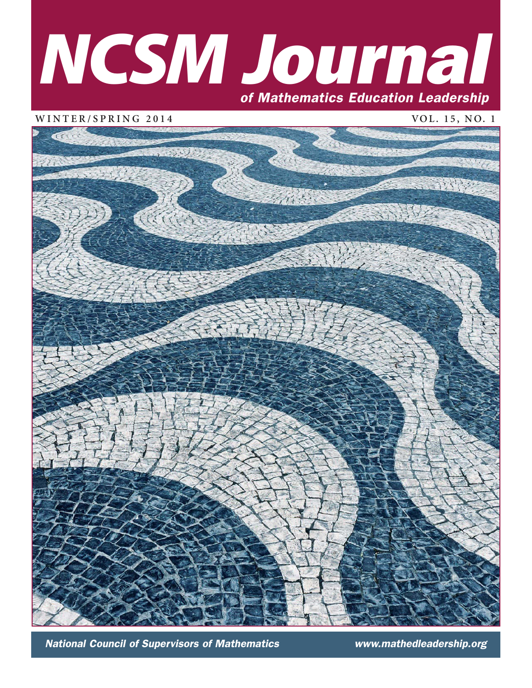# **NCSM J**ournal of Mathematics Education Leadership

WINTER/SPRING 2014 VOL. 15, NO. 1



National Council of Supervisors of Mathematics www.mathedleadership.org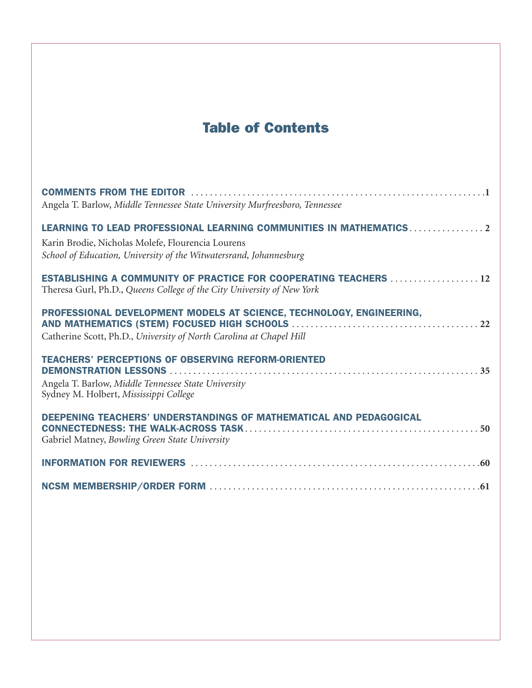# Table of Contents

| Angela T. Barlow, Middle Tennessee State University Murfreesboro, Tennessee                                                                                |
|------------------------------------------------------------------------------------------------------------------------------------------------------------|
| LEARNING TO LEAD PROFESSIONAL LEARNING COMMUNITIES IN MATHEMATICS2<br>Karin Brodie, Nicholas Molefe, Flourencia Lourens                                    |
| School of Education, University of the Witwatersrand, Johannesburg                                                                                         |
| ESTABLISHING A COMMUNITY OF PRACTICE FOR COOPERATING TEACHERS 12<br>Theresa Gurl, Ph.D., Queens College of the City University of New York                 |
| PROFESSIONAL DEVELOPMENT MODELS AT SCIENCE, TECHNOLOGY, ENGINEERING,<br>Catherine Scott, Ph.D., University of North Carolina at Chapel Hill                |
| <b>TEACHERS' PERCEPTIONS OF OBSERVING REFORM-ORIENTED</b><br>Angela T. Barlow, Middle Tennessee State University<br>Sydney M. Holbert, Mississippi College |
| DEEPENING TEACHERS' UNDERSTANDINGS OF MATHEMATICAL AND PEDAGOGICAL<br>Gabriel Matney, Bowling Green State University                                       |
|                                                                                                                                                            |
|                                                                                                                                                            |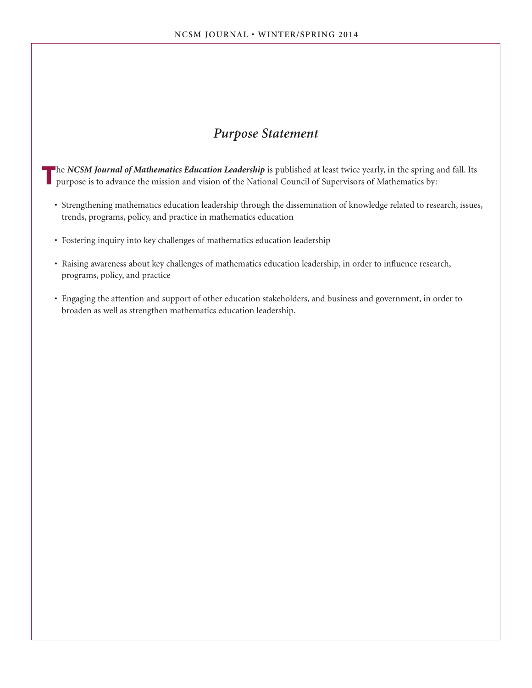# *Purpose Statement*

The *NCSM Journal of Mathematics Education Leadership* is published at least twice yearly, in the spring and fall. Its purpose is to advance the mission and vision of the National Council of Supervisors of Mathematics by:

- Strengthening mathematics education leadership through the dissemination of knowledge related to research, issues, trends, programs, policy, and practice in mathematics education
- Fostering inquiry into key challenges of mathematics education leadership
- Raising awareness about key challenges of mathematics education leadership, in order to influence research, programs, policy, and practice
- Engaging the attention and support of other education stakeholders, and business and government, in order to broaden as well as strengthen mathematics education leadership.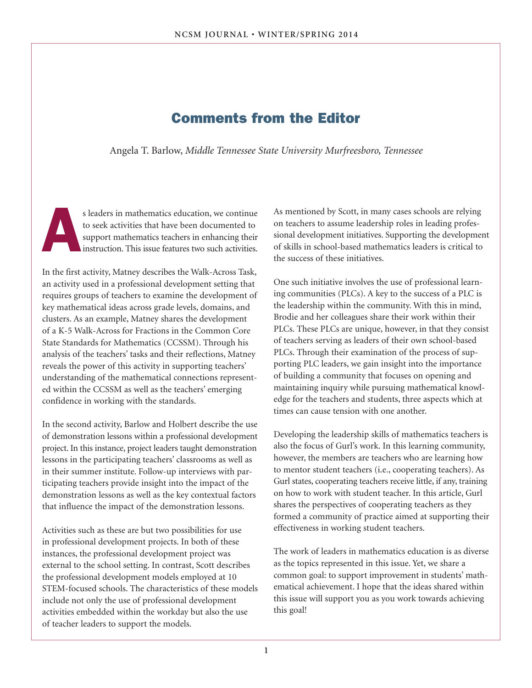# Comments from the Editor

Angela T. Barlow, *Middle Tennessee State University Murfreesboro, Tennessee* 

s leaders in mathematics education, we continue<br>to seek activities that have been documented to<br>support mathematics teachers in enhancing their<br>instruction. This issue features two such activities. to seek activities that have been documented to support mathematics teachers in enhancing their instruction. This issue features two such activities.

In the first activity, Matney describes the Walk-Across Task, an activity used in a professional development setting that requires groups of teachers to examine the development of key mathematical ideas across grade levels, domains, and clusters. As an example, Matney shares the development of a K-5 Walk-Across for Fractions in the Common Core State Standards for Mathematics (CCSSM). Through his analysis of the teachers' tasks and their reflections, Matney reveals the power of this activity in supporting teachers' understanding of the mathematical connections represented within the CCSSM as well as the teachers' emerging confidence in working with the standards.

In the second activity, Barlow and Holbert describe the use of demonstration lessons within a professional development project. In this instance, project leaders taught demonstration lessons in the participating teachers' classrooms as well as in their summer institute. Follow-up interviews with participating teachers provide insight into the impact of the demonstration lessons as well as the key contextual factors that influence the impact of the demonstration lessons.

Activities such as these are but two possibilities for use in professional development projects. In both of these instances, the professional development project was external to the school setting. In contrast, Scott describes the professional development models employed at 10 STEM-focused schools. The characteristics of these models include not only the use of professional development activities embedded within the workday but also the use of teacher leaders to support the models.

As mentioned by Scott, in many cases schools are relying on teachers to assume leadership roles in leading professional development initiatives. Supporting the development of skills in school-based mathematics leaders is critical to the success of these initiatives.

One such initiative involves the use of professional learning communities (PLCs). A key to the success of a PLC is the leadership within the community. With this in mind, Brodie and her colleagues share their work within their PLCs. These PLCs are unique, however, in that they consist of teachers serving as leaders of their own school-based PLCs. Through their examination of the process of supporting PLC leaders, we gain insight into the importance of building a community that focuses on opening and maintaining inquiry while pursuing mathematical knowledge for the teachers and students, three aspects which at times can cause tension with one another.

Developing the leadership skills of mathematics teachers is also the focus of Gurl's work. In this learning community, however, the members are teachers who are learning how to mentor student teachers (i.e., cooperating teachers). As Gurl states, cooperating teachers receive little, if any, training on how to work with student teacher. In this article, Gurl shares the perspectives of cooperating teachers as they formed a community of practice aimed at supporting their effectiveness in working student teachers.

The work of leaders in mathematics education is as diverse as the topics represented in this issue. Yet, we share a common goal: to support improvement in students' mathematical achievement. I hope that the ideas shared within this issue will support you as you work towards achieving this goal!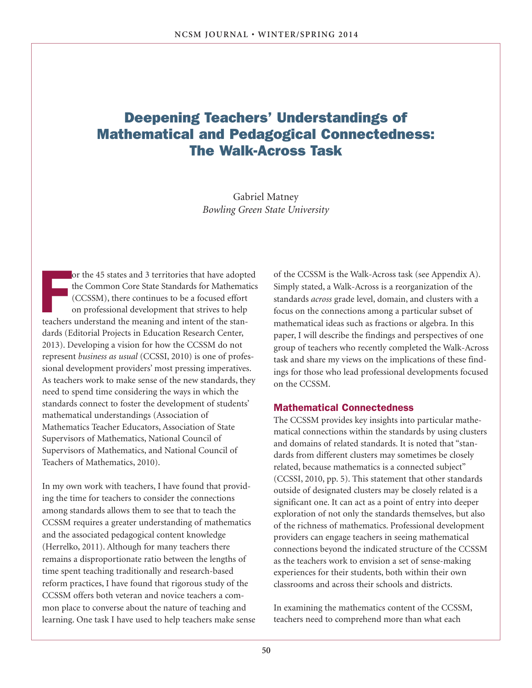# Deepening Teachers' Understandings of Mathematical and Pedagogical Connectedness: The Walk-Across Task

Gabriel Matney *Bowling Green State University*

or the 45 states and 3 territories that have adopted the Common Core State Standards for Mathemat (CCSSM), there continues to be a focused effort on professional development that strives to help teachers understand the mea or the 45 states and 3 territories that have adopted the Common Core State Standards for Mathematics (CCSSM), there continues to be a focused effort on professional development that strives to help dards (Editorial Projects in Education Research Center, 2013). Developing a vision for how the CCSSM do not represent *business as usual* (CCSSI, 2010) is one of professional development providers' most pressing imperatives. As teachers work to make sense of the new standards, they need to spend time considering the ways in which the standards connect to foster the development of students' mathematical understandings (Association of Mathematics Teacher Educators, Association of State Supervisors of Mathematics, National Council of Supervisors of Mathematics, and National Council of Teachers of Mathematics, 2010).

In my own work with teachers, I have found that providing the time for teachers to consider the connections among standards allows them to see that to teach the CCSSM requires a greater understanding of mathematics and the associated pedagogical content knowledge (Herrelko, 2011). Although for many teachers there remains a disproportionate ratio between the lengths of time spent teaching traditionally and research-based reform practices, I have found that rigorous study of the CCSSM offers both veteran and novice teachers a common place to converse about the nature of teaching and learning. One task I have used to help teachers make sense of the CCSSM is the Walk-Across task (see Appendix A). Simply stated, a Walk-Across is a reorganization of the standards *across* grade level, domain, and clusters with a focus on the connections among a particular subset of mathematical ideas such as fractions or algebra. In this paper, I will describe the findings and perspectives of one group of teachers who recently completed the Walk-Across task and share my views on the implications of these findings for those who lead professional developments focused on the CCSSM.

## Mathematical Connectedness

The CCSSM provides key insights into particular mathematical connections within the standards by using clusters and domains of related standards. It is noted that "standards from different clusters may sometimes be closely related, because mathematics is a connected subject" (CCSSI, 2010, pp. 5). This statement that other standards outside of designated clusters may be closely related is a significant one. It can act as a point of entry into deeper exploration of not only the standards themselves, but also of the richness of mathematics. Professional development providers can engage teachers in seeing mathematical connections beyond the indicated structure of the CCSSM as the teachers work to envision a set of sense-making experiences for their students, both within their own classrooms and across their schools and districts.

In examining the mathematics content of the CCSSM, teachers need to comprehend more than what each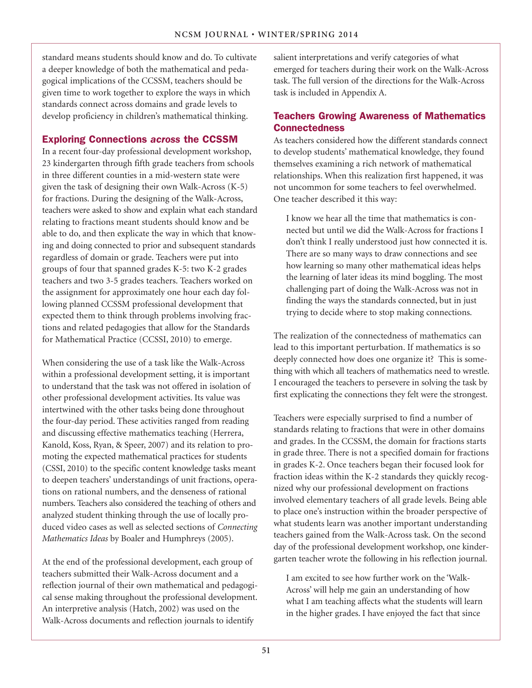standard means students should know and do. To cultivate a deeper knowledge of both the mathematical and pedagogical implications of the CCSSM, teachers should be given time to work together to explore the ways in which standards connect across domains and grade levels to develop proficiency in children's mathematical thinking.

## Exploring Connections *across* the CCSSM

In a recent four-day professional development workshop, 23 kindergarten through fifth grade teachers from schools in three different counties in a mid-western state were given the task of designing their own Walk-Across (K-5) for fractions. During the designing of the Walk-Across, teachers were asked to show and explain what each standard relating to fractions meant students should know and be able to do, and then explicate the way in which that knowing and doing connected to prior and subsequent standards regardless of domain or grade. Teachers were put into groups of four that spanned grades K-5: two K-2 grades teachers and two 3-5 grades teachers. Teachers worked on the assignment for approximately one hour each day following planned CCSSM professional development that expected them to think through problems involving fractions and related pedagogies that allow for the Standards for Mathematical Practice (CCSSI, 2010) to emerge.

When considering the use of a task like the Walk-Across within a professional development setting, it is important to understand that the task was not offered in isolation of other professional development activities. Its value was intertwined with the other tasks being done throughout the four-day period. These activities ranged from reading and discussing effective mathematics teaching (Herrera, Kanold, Koss, Ryan, & Speer, 2007) and its relation to promoting the expected mathematical practices for students (CSSI, 2010) to the specific content knowledge tasks meant to deepen teachers' understandings of unit fractions, operations on rational numbers, and the denseness of rational numbers. Teachers also considered the teaching of others and analyzed student thinking through the use of locally produced video cases as well as selected sections of *Connecting Mathematics Ideas* by Boaler and Humphreys (2005).

At the end of the professional development, each group of teachers submitted their Walk-Across document and a reflection journal of their own mathematical and pedagogical sense making throughout the professional development. An interpretive analysis (Hatch, 2002) was used on the Walk-Across documents and reflection journals to identify

salient interpretations and verify categories of what emerged for teachers during their work on the Walk-Across task. The full version of the directions for the Walk-Across task is included in Appendix A.

## Teachers Growing Awareness of Mathematics **Connectedness**

As teachers considered how the different standards connect to develop students' mathematical knowledge, they found themselves examining a rich network of mathematical relationships. When this realization first happened, it was not uncommon for some teachers to feel overwhelmed. One teacher described it this way:

I know we hear all the time that mathematics is connected but until we did the Walk-Across for fractions I don't think I really understood just how connected it is. There are so many ways to draw connections and see how learning so many other mathematical ideas helps the learning of later ideas its mind boggling. The most challenging part of doing the Walk-Across was not in finding the ways the standards connected, but in just trying to decide where to stop making connections.

The realization of the connectedness of mathematics can lead to this important perturbation. If mathematics is so deeply connected how does one organize it? This is something with which all teachers of mathematics need to wrestle. I encouraged the teachers to persevere in solving the task by first explicating the connections they felt were the strongest.

Teachers were especially surprised to find a number of standards relating to fractions that were in other domains and grades. In the CCSSM, the domain for fractions starts in grade three. There is not a specified domain for fractions in grades K-2. Once teachers began their focused look for fraction ideas within the K-2 standards they quickly recognized why our professional development on fractions involved elementary teachers of all grade levels. Being able to place one's instruction within the broader perspective of what students learn was another important understanding teachers gained from the Walk-Across task. On the second day of the professional development workshop, one kindergarten teacher wrote the following in his reflection journal.

I am excited to see how further work on the 'Walk-Across' will help me gain an understanding of how what I am teaching affects what the students will learn in the higher grades. I have enjoyed the fact that since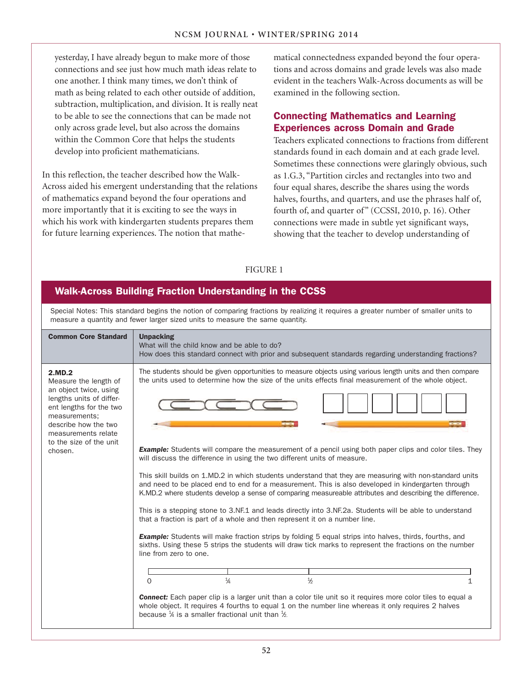yesterday, I have already begun to make more of those connections and see just how much math ideas relate to one another. I think many times, we don't think of math as being related to each other outside of addition, subtraction, multiplication, and division. It is really neat to be able to see the connections that can be made not only across grade level, but also across the domains within the Common Core that helps the students develop into proficient mathematicians.

In this reflection, the teacher described how the Walk-Across aided his emergent understanding that the relations of mathematics expand beyond the four operations and more importantly that it is exciting to see the ways in which his work with kindergarten students prepares them for future learning experiences. The notion that mathematical connectedness expanded beyond the four operations and across domains and grade levels was also made evident in the teachers Walk-Across documents as will be examined in the following section.

# Connecting Mathematics and Learning Experiences across Domain and Grade

Teachers explicated connections to fractions from different standards found in each domain and at each grade level. Sometimes these connections were glaringly obvious, such as 1.G.3, "Partition circles and rectangles into two and four equal shares, describe the shares using the words halves, fourths, and quarters, and use the phrases half of, fourth of, and quarter of" (CCSSI, 2010, p. 16). Other connections were made in subtle yet significant ways, showing that the teacher to develop understanding of

## FIGURE 1

#### Special Notes: This standard begins the notion of comparing fractions by realizing it requires a greater number of smaller units to measure a quantity and fewer larger sized units to measure the same quantity. Walk-Across Building Fraction Understanding in the CCSS Common Core Standard 2.MD.2 Measure the length of an object twice, using lengths units of different lengths for the two measurements; describe how the two measurements relate to the size of the unit chosen. Unpacking What will the child know and be able to do? How does this standard connect with prior and subsequent standards regarding understanding fractions? The students should be given opportunities to measure objects using various length units and then compare the units used to determine how the size of the units effects final measurement of the whole object. **Example:** Students will compare the measurement of a pencil using both paper clips and color tiles. They will discuss the difference in using the two different units of measure. This skill builds on 1.MD.2 in which students understand that they are measuring with non-standard units and need to be placed end to end for a measurement. This is also developed in kindergarten through K.MD.2 where students develop a sense of comparing measureable attributes and describing the difference. This is a stepping stone to 3.NF.1 and leads directly into 3.NF.2a. Students will be able to understand that a fraction is part of a whole and then represent it on a number line. **Example:** Students will make fraction strips by folding 5 equal strips into halves, thirds, fourths, and sixths. Using these 5 strips the students will draw tick marks to represent the fractions on the number line from zero to one. *Connect:* Each paper clip is a larger unit than a color tile unit so it requires more color tiles to equal a whole object. It requires 4 fourths to equal 1 on the number line whereas it only requires 2 halves because  $\frac{1}{4}$  is a smaller fractional unit than  $\frac{1}{2}$ .  $\overline{0}$   $\overline{1}$  $\frac{1}{4}$  $\frac{2}{2}$  1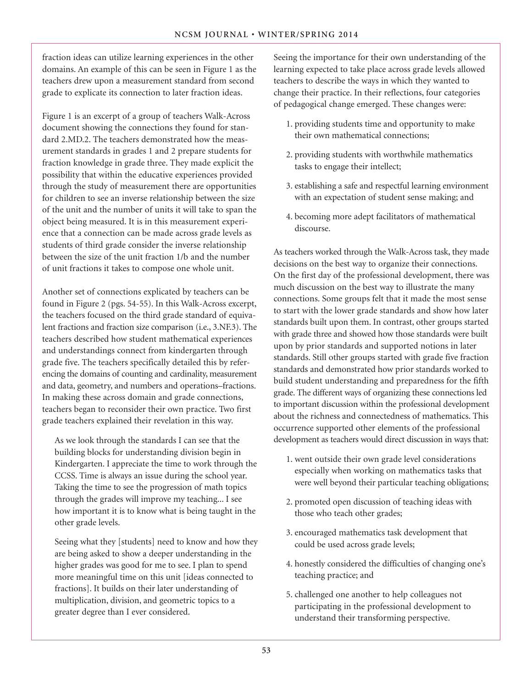fraction ideas can utilize learning experiences in the other domains. An example of this can be seen in Figure 1 as the teachers drew upon a measurement standard from second grade to explicate its connection to later fraction ideas.

Figure 1 is an excerpt of a group of teachers Walk-Across document showing the connections they found for standard 2.MD.2. The teachers demonstrated how the measurement standards in grades 1 and 2 prepare students for fraction knowledge in grade three. They made explicit the possibility that within the educative experiences provided through the study of measurement there are opportunities for children to see an inverse relationship between the size of the unit and the number of units it will take to span the object being measured. It is in this measurement experience that a connection can be made across grade levels as students of third grade consider the inverse relationship between the size of the unit fraction 1/b and the number of unit fractions it takes to compose one whole unit.

Another set of connections explicated by teachers can be found in Figure 2 (pgs. 54-55). In this Walk-Across excerpt, the teachers focused on the third grade standard of equivalent fractions and fraction size comparison (i.e., 3.NF.3). The teachers described how student mathematical experiences and understandings connect from kindergarten through grade five. The teachers specifically detailed this by referencing the domains of counting and cardinality, measurement and data, geometry, and numbers and operations–fractions. In making these across domain and grade connections, teachers began to reconsider their own practice. Two first grade teachers explained their revelation in this way.

As we look through the standards I can see that the building blocks for understanding division begin in Kindergarten. I appreciate the time to work through the CCSS. Time is always an issue during the school year. Taking the time to see the progression of math topics through the grades will improve my teaching... I see how important it is to know what is being taught in the other grade levels.

Seeing what they [students] need to know and how they are being asked to show a deeper understanding in the higher grades was good for me to see. I plan to spend more meaningful time on this unit [ideas connected to fractions]. It builds on their later understanding of multiplication, division, and geometric topics to a greater degree than I ever considered.

Seeing the importance for their own understanding of the learning expected to take place across grade levels allowed teachers to describe the ways in which they wanted to change their practice. In their reflections, four categories of pedagogical change emerged. These changes were:

- 1. providing students time and opportunity to make their own mathematical connections;
- 2. providing students with worthwhile mathematics tasks to engage their intellect;
- 3. establishing a safe and respectful learning environment with an expectation of student sense making; and
- 4. becoming more adept facilitators of mathematical discourse.

As teachers worked through the Walk-Across task, they made decisions on the best way to organize their connections. On the first day of the professional development, there was much discussion on the best way to illustrate the many connections. Some groups felt that it made the most sense to start with the lower grade standards and show how later standards built upon them. In contrast, other groups started with grade three and showed how those standards were built upon by prior standards and supported notions in later standards. Still other groups started with grade five fraction standards and demonstrated how prior standards worked to build student understanding and preparedness for the fifth grade. The different ways of organizing these connections led to important discussion within the professional development about the richness and connectedness of mathematics. This occurrence supported other elements of the professional development as teachers would direct discussion in ways that:

- 1. went outside their own grade level considerations especially when working on mathematics tasks that were well beyond their particular teaching obligations;
- 2. promoted open discussion of teaching ideas with those who teach other grades;
- 3. encouraged mathematics task development that could be used across grade levels;
- 4. honestly considered the difficulties of changing one's teaching practice; and
- 5. challenged one another to help colleagues not participating in the professional development to understand their transforming perspective.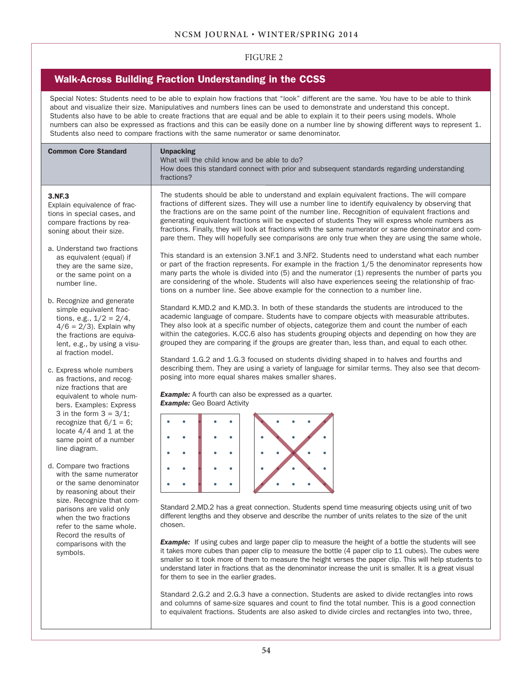#### FIGURE 2

## Walk-Across Building Fraction Understanding in the CCSS

Special Notes: Students need to be able to explain how fractions that "look" different are the same. You have to be able to think about and visualize their size. Manipulatives and numbers lines can be used to demonstrate and understand this concept. Students also have to be able to create fractions that are equal and be able to explain it to their peers using models. Whole numbers can also be expressed as fractions and this can be easily done on a number line by showing different ways to represent 1. Students also need to compare fractions with the same numerator or same denominator.

| <b>Common Core Standard</b>                                                                                                                                                                                                                                                                                                                                                                                                                                                                                                                                                                                                                                                                                                                                                                                                                                                                                                                                                                                                                | <b>Unpacking</b><br>What will the child know and be able to do?<br>How does this standard connect with prior and subsequent standards regarding understanding<br>fractions?                                                                                                                                                                                                                                                                                                                                                                                                                                                                                                                                                                                                                                                                                                                                                                                                                                                                                                                                                                                                                                                                                                                                                                                                                                                                                                                                                                                                                                                                                                                                                                                                                                                                                                                                                                                                                                                                                                                                                                                                                                                                                                                                                                                                                                                                                                                                                                                                                                                                                                                                                                                                                                                                                                                                          |
|--------------------------------------------------------------------------------------------------------------------------------------------------------------------------------------------------------------------------------------------------------------------------------------------------------------------------------------------------------------------------------------------------------------------------------------------------------------------------------------------------------------------------------------------------------------------------------------------------------------------------------------------------------------------------------------------------------------------------------------------------------------------------------------------------------------------------------------------------------------------------------------------------------------------------------------------------------------------------------------------------------------------------------------------|----------------------------------------------------------------------------------------------------------------------------------------------------------------------------------------------------------------------------------------------------------------------------------------------------------------------------------------------------------------------------------------------------------------------------------------------------------------------------------------------------------------------------------------------------------------------------------------------------------------------------------------------------------------------------------------------------------------------------------------------------------------------------------------------------------------------------------------------------------------------------------------------------------------------------------------------------------------------------------------------------------------------------------------------------------------------------------------------------------------------------------------------------------------------------------------------------------------------------------------------------------------------------------------------------------------------------------------------------------------------------------------------------------------------------------------------------------------------------------------------------------------------------------------------------------------------------------------------------------------------------------------------------------------------------------------------------------------------------------------------------------------------------------------------------------------------------------------------------------------------------------------------------------------------------------------------------------------------------------------------------------------------------------------------------------------------------------------------------------------------------------------------------------------------------------------------------------------------------------------------------------------------------------------------------------------------------------------------------------------------------------------------------------------------------------------------------------------------------------------------------------------------------------------------------------------------------------------------------------------------------------------------------------------------------------------------------------------------------------------------------------------------------------------------------------------------------------------------------------------------------------------------------------------------|
| 3.NF.3<br>Explain equivalence of frac-<br>tions in special cases, and<br>compare fractions by rea-<br>soning about their size.<br>a. Understand two fractions<br>as equivalent (equal) if<br>they are the same size,<br>or the same point on a<br>number line.<br>b. Recognize and generate<br>simple equivalent frac-<br>tions, e.g., $1/2 = 2/4$ ,<br>$4/6 = 2/3$ . Explain why<br>the fractions are equiva-<br>lent, e.g., by using a visu-<br>al fraction model.<br>c. Express whole numbers<br>as fractions, and recog-<br>nize fractions that are<br>equivalent to whole num-<br>bers. Examples: Express<br>3 in the form $3 = 3/1$ ;<br>recognize that $6/1 = 6$ ;<br>locate $4/4$ and 1 at the<br>same point of a number<br>line diagram.<br>d. Compare two fractions<br>with the same numerator<br>or the same denominator<br>by reasoning about their<br>size. Recognize that com-<br>parisons are valid only<br>when the two fractions<br>refer to the same whole.<br>Record the results of<br>comparisons with the<br>symbols. | The students should be able to understand and explain equivalent fractions. The will compare<br>fractions of different sizes. They will use a number line to identify equivalency by observing that<br>the fractions are on the same point of the number line. Recognition of equivalent fractions and<br>generating equivalent fractions will be expected of students They will express whole numbers as<br>fractions. Finally, they will look at fractions with the same numerator or same denominator and com-<br>pare them. They will hopefully see comparisons are only true when they are using the same whole.<br>This standard is an extension 3.NF.1 and 3.NF2. Students need to understand what each number<br>or part of the fraction represents. For example in the fraction 1/5 the denominator represents how<br>many parts the whole is divided into (5) and the numerator (1) represents the number of parts you<br>are considering of the whole. Students will also have experiences seeing the relationship of frac-<br>tions on a number line. See above example for the connection to a number line.<br>Standard K.MD.2 and K.MD.3. In both of these standards the students are introduced to the<br>academic language of compare. Students have to compare objects with measurable attributes.<br>They also look at a specific number of objects, categorize them and count the number of each<br>within the categories. K.CC.6 also has students grouping objects and depending on how they are<br>grouped they are comparing if the groups are greater than, less than, and equal to each other.<br>Standard 1.G.2 and 1.G.3 focused on students dividing shaped in to halves and fourths and<br>describing them. They are using a variety of language for similar terms. They also see that decom-<br>posing into more equal shares makes smaller shares.<br><b>Example:</b> A fourth can also be expressed as a quarter.<br><b>Example:</b> Geo Board Activity<br>$\bullet$<br>Standard 2.MD.2 has a great connection. Students spend time measuring objects using unit of two<br>different lengths and they observe and describe the number of units relates to the size of the unit<br>chosen.<br><b>Example:</b> If using cubes and large paper clip to measure the height of a bottle the students will see<br>it takes more cubes than paper clip to measure the bottle (4 paper clip to 11 cubes). The cubes were<br>smaller so it took more of them to measure the height verses the paper clip. This will help students to<br>understand later in fractions that as the denominator increase the unit is smaller. It is a great visual<br>for them to see in the earlier grades.<br>Standard 2.G.2 and 2.G.3 have a connection. Students are asked to divide rectangles into rows<br>and columns of same-size squares and count to find the total number. This is a good connection |
|                                                                                                                                                                                                                                                                                                                                                                                                                                                                                                                                                                                                                                                                                                                                                                                                                                                                                                                                                                                                                                            | to equivalent fractions. Students are also asked to divide circles and rectangles into two, three,                                                                                                                                                                                                                                                                                                                                                                                                                                                                                                                                                                                                                                                                                                                                                                                                                                                                                                                                                                                                                                                                                                                                                                                                                                                                                                                                                                                                                                                                                                                                                                                                                                                                                                                                                                                                                                                                                                                                                                                                                                                                                                                                                                                                                                                                                                                                                                                                                                                                                                                                                                                                                                                                                                                                                                                                                   |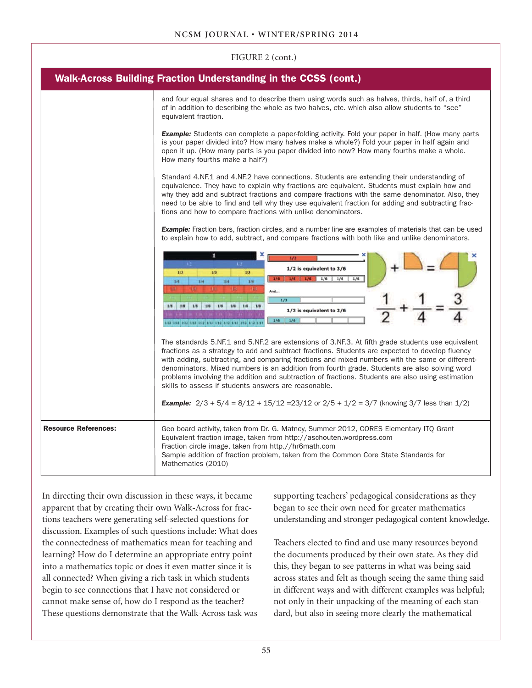| FIGURE 2 (cont.)                                                       |                                                                                                                                                                                                                                                                                                                                                                                                                                                                                                                                                                    |  |
|------------------------------------------------------------------------|--------------------------------------------------------------------------------------------------------------------------------------------------------------------------------------------------------------------------------------------------------------------------------------------------------------------------------------------------------------------------------------------------------------------------------------------------------------------------------------------------------------------------------------------------------------------|--|
| <b>Walk-Across Building Fraction Understanding in the CCSS (cont.)</b> |                                                                                                                                                                                                                                                                                                                                                                                                                                                                                                                                                                    |  |
|                                                                        | and four equal shares and to describe them using words such as halves, thirds, half of, a third<br>of in addition to describing the whole as two halves, etc. which also allow students to "see"<br>equivalent fraction.                                                                                                                                                                                                                                                                                                                                           |  |
|                                                                        | <b>Example:</b> Students can complete a paper-folding activity. Fold your paper in half. (How many parts<br>is your paper divided into? How many halves make a whole?) Fold your paper in half again and<br>open it up. (How many parts is you paper divided into now? How many fourths make a whole.<br>How many fourths make a half?)                                                                                                                                                                                                                            |  |
|                                                                        | Standard 4.NF.1 and 4.NF.2 have connections. Students are extending their understanding of<br>equivalence. They have to explain why fractions are equivalent. Students must explain how and<br>why they add and subtract fractions and compare fractions with the same denominator. Also, they<br>need to be able to find and tell why they use equivalent fraction for adding and subtracting frac-<br>tions and how to compare fractions with unlike denominators.                                                                                               |  |
|                                                                        | <b>Example:</b> Fraction bars, fraction circles, and a number line are examples of materials that can be used<br>to explain how to add, subtract, and compare fractions with both like and unlike denominators.                                                                                                                                                                                                                                                                                                                                                    |  |
|                                                                        | 1/2<br>$14 -$<br>$1.2 -$<br>1/2 is equivalent to 3/6<br>1/3<br>1/3<br>1/3<br>$1/6$ $1/6$ $1/6$<br>1/6<br>1/4<br>1/4<br>1/4<br>1/4<br><b>Ind.</b><br>$+1.1$<br>11.3<br>And<br>1/3<br>1/8 1/8 1/8 1/8 1/8 1/8 1/8 1/8 1/8<br>1/3 is equivalent to 2/6<br>1/6<br>1/6                                                                                                                                                                                                                                                                                                  |  |
|                                                                        | The standards 5.NF.1 and 5.NF.2 are extensions of 3.NF.3. At fifth grade students use equivalent<br>fractions as a strategy to add and subtract fractions. Students are expected to develop fluency<br>with adding, subtracting, and comparing fractions and mixed numbers with the same or different-<br>denominators. Mixed numbers is an addition from fourth grade. Students are also solving word<br>problems involving the addition and subtraction of fractions. Students are also using estimation<br>skills to assess if students answers are reasonable. |  |
|                                                                        | <b>Example:</b> $2/3 + 5/4 = 8/12 + 15/12 = 23/12$ or $2/5 + 1/2 = 3/7$ (knowing 3/7 less than 1/2)                                                                                                                                                                                                                                                                                                                                                                                                                                                                |  |
| <b>Resource References:</b>                                            | Geo board activity, taken from Dr. G. Matney, Summer 2012, CORES Elementary ITQ Grant<br>Equivalent fraction image, taken from http://aschouten.wordpress.com<br>Fraction circle image, taken from http.//hr6math.com<br>Sample addition of fraction problem, taken from the Common Core State Standards for<br>Mathematics (2010)                                                                                                                                                                                                                                 |  |

In directing their own discussion in these ways, it became apparent that by creating their own Walk-Across for fractions teachers were generating self-selected questions for discussion. Examples of such questions include: What does the connectedness of mathematics mean for teaching and learning? How do I determine an appropriate entry point into a mathematics topic or does it even matter since it is all connected? When giving a rich task in which students begin to see connections that I have not considered or cannot make sense of, how do I respond as the teacher? These questions demonstrate that the Walk-Across task was supporting teachers' pedagogical considerations as they began to see their own need for greater mathematics understanding and stronger pedagogical content knowledge.

Teachers elected to find and use many resources beyond the documents produced by their own state. As they did this, they began to see patterns in what was being said across states and felt as though seeing the same thing said in different ways and with different examples was helpful; not only in their unpacking of the meaning of each standard, but also in seeing more clearly the mathematical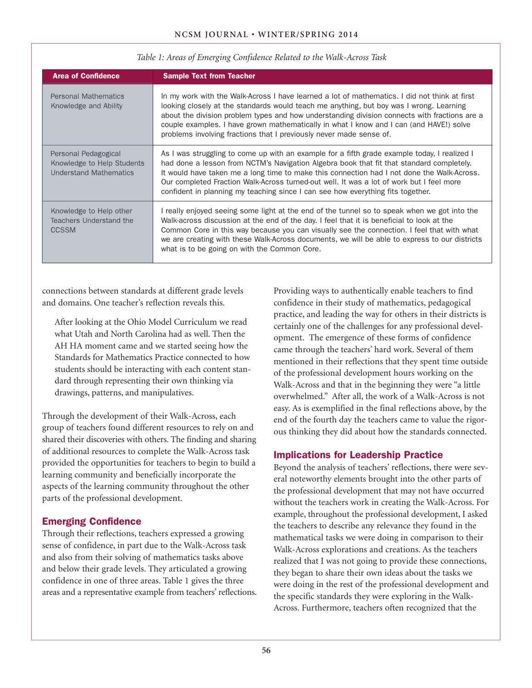| <b>Area of Confidence</b>                                                           | <b>Sample Text from Teacher</b>                                                                                                                                                                                                                                                                                                                                                                                                                                       |
|-------------------------------------------------------------------------------------|-----------------------------------------------------------------------------------------------------------------------------------------------------------------------------------------------------------------------------------------------------------------------------------------------------------------------------------------------------------------------------------------------------------------------------------------------------------------------|
| <b>Personal Mathematics</b><br>Knowledge and Ability                                | In my work with the Walk-Across I have learned a lot of mathematics. I did not think at first<br>looking closely at the standards would teach me anything, but boy was I wrong. Learning<br>about the division problem types and how understanding division connects with fractions are a<br>couple examples. I have grown mathematically in what I know and I can (and HAVE!) solve<br>problems involving fractions that I previously never made sense of.           |
| Personal Pedagogical<br>Knowledge to Help Students<br><b>Understand Mathematics</b> | As I was struggling to come up with an example for a fifth grade example today, I realized I<br>had done a lesson from NCTM's Navigation Algebra book that fit that standard completely.<br>It would have taken me a long time to make this connection had I not done the Walk-Across.<br>Our completed Fraction Walk-Across turned-out well. It was a lot of work but I feel more<br>confident in planning my teaching since I can see how everything fits together. |
| Knowledge to Help other<br>Teachers Understand the<br><b>CCSSM</b>                  | I really enjoyed seeing some light at the end of the tunnel so to speak when we got into the<br>Walk-across discussion at the end of the day. I feel that it is beneficial to look at the<br>Common Core in this way because you can visually see the connection. I feel that with what<br>we are creating with these Walk-Across documents, we will be able to express to our districts<br>what is to be going on with the Common Core.                              |

### *Table 1: Areas of Emerging Confidence Related to the Walk-Across Task*

connections between standards at different grade levels and domains. One teacher's reflection reveals this.

After looking at the Ohio Model Curriculum we read what Utah and North Carolina had as well. Then the AH HA moment came and we started seeing how the Standards for Mathematics Practice connected to how students should be interacting with each content standard through representing their own thinking via drawings, patterns, and manipulatives.

Through the development of their Walk-Across, each group of teachers found different resources to rely on and shared their discoveries with others. The finding and sharing of additional resources to complete the Walk-Across task provided the opportunities for teachers to begin to build a learning community and beneficially incorporate the aspects of the learning community throughout the other parts of the professional development.

# Emerging Confidence

Through their reflections, teachers expressed a growing sense of confidence, in part due to the Walk-Across task and also from their solving of mathematics tasks above and below their grade levels. They articulated a growing confidence in one of three areas. Table 1 gives the three areas and a representative example from teachers' reflections. Providing ways to authentically enable teachers to find confidence in their study of mathematics, pedagogical practice, and leading the way for others in their districts is certainly one of the challenges for any professional development. The emergence of these forms of confidence came through the teachers' hard work. Several of them mentioned in their reflections that they spent time outside of the professional development hours working on the Walk-Across and that in the beginning they were "a little overwhelmed." After all, the work of a Walk-Across is not easy. As is exemplified in the final reflections above, by the end of the fourth day the teachers came to value the rigorous thinking they did about how the standards connected.

# Implications for Leadership Practice

Beyond the analysis of teachers' reflections, there were several noteworthy elements brought into the other parts of the professional development that may not have occurred without the teachers work in creating the Walk-Across. For example, throughout the professional development, I asked the teachers to describe any relevance they found in the mathematical tasks we were doing in comparison to their Walk-Across explorations and creations. As the teachers realized that I was not going to provide these connections, they began to share their own ideas about the tasks we were doing in the rest of the professional development and the specific standards they were exploring in the Walk-Across. Furthermore, teachers often recognized that the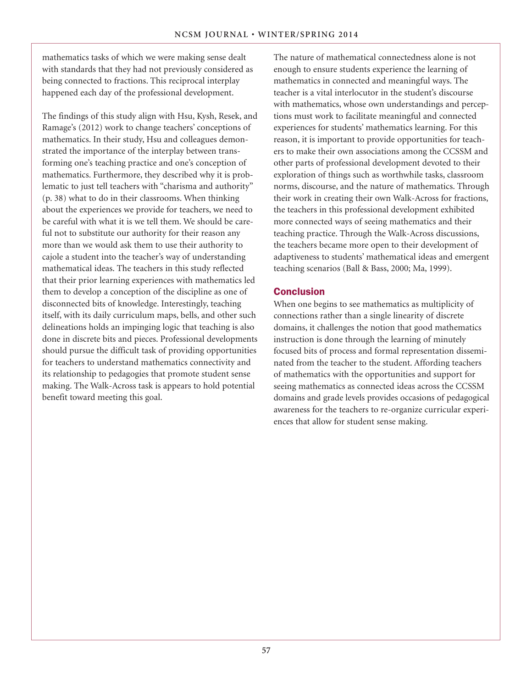mathematics tasks of which we were making sense dealt with standards that they had not previously considered as being connected to fractions. This reciprocal interplay happened each day of the professional development.

The findings of this study align with Hsu, Kysh, Resek, and Ramage's (2012) work to change teachers' conceptions of mathematics. In their study, Hsu and colleagues demonstrated the importance of the interplay between transforming one's teaching practice and one's conception of mathematics. Furthermore, they described why it is problematic to just tell teachers with "charisma and authority" (p. 38) what to do in their classrooms. When thinking about the experiences we provide for teachers, we need to be careful with what it is we tell them. We should be careful not to substitute our authority for their reason any more than we would ask them to use their authority to cajole a student into the teacher's way of understanding mathematical ideas. The teachers in this study reflected that their prior learning experiences with mathematics led them to develop a conception of the discipline as one of disconnected bits of knowledge. Interestingly, teaching itself, with its daily curriculum maps, bells, and other such delineations holds an impinging logic that teaching is also done in discrete bits and pieces. Professional developments should pursue the difficult task of providing opportunities for teachers to understand mathematics connectivity and its relationship to pedagogies that promote student sense making. The Walk-Across task is appears to hold potential benefit toward meeting this goal.

The nature of mathematical connectedness alone is not enough to ensure students experience the learning of mathematics in connected and meaningful ways. The teacher is a vital interlocutor in the student's discourse with mathematics, whose own understandings and perceptions must work to facilitate meaningful and connected experiences for students' mathematics learning. For this reason, it is important to provide opportunities for teachers to make their own associations among the CCSSM and other parts of professional development devoted to their exploration of things such as worthwhile tasks, classroom norms, discourse, and the nature of mathematics. Through their work in creating their own Walk-Across for fractions, the teachers in this professional development exhibited more connected ways of seeing mathematics and their teaching practice. Through the Walk-Across discussions, the teachers became more open to their development of adaptiveness to students' mathematical ideas and emergent teaching scenarios (Ball & Bass, 2000; Ma, 1999).

## **Conclusion**

When one begins to see mathematics as multiplicity of connections rather than a single linearity of discrete domains, it challenges the notion that good mathematics instruction is done through the learning of minutely focused bits of process and formal representation disseminated from the teacher to the student. Affording teachers of mathematics with the opportunities and support for seeing mathematics as connected ideas across the CCSSM domains and grade levels provides occasions of pedagogical awareness for the teachers to re-organize curricular experiences that allow for student sense making.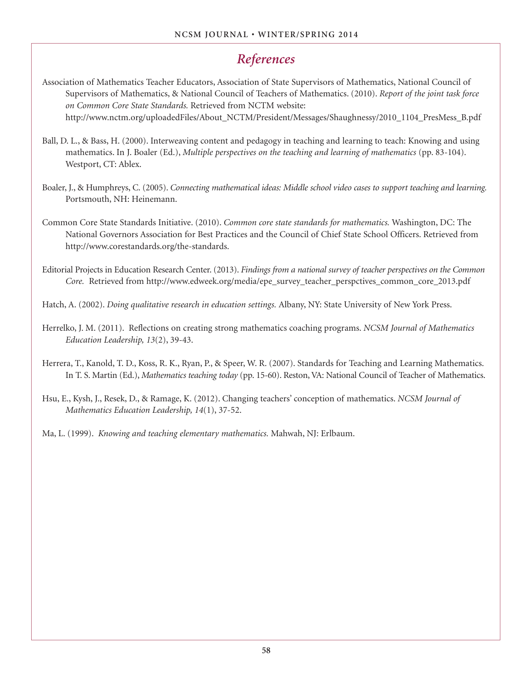# *References*

- Association of Mathematics Teacher Educators, Association of State Supervisors of Mathematics, National Council of Supervisors of Mathematics, & National Council of Teachers of Mathematics. (2010). *Report of the joint task force on Common Core State Standards.* Retrieved from NCTM website: http://www.nctm.org/uploadedFiles/About\_NCTM/President/Messages/Shaughnessy/2010\_1104\_PresMess\_B.pdf
- Ball, D. L., & Bass, H. (2000). Interweaving content and pedagogy in teaching and learning to teach: Knowing and using mathematics. In J. Boaler (Ed.), *Multiple perspectives on the teaching and learning of mathematics* (pp. 83-104). Westport, CT: Ablex.
- Boaler, J., & Humphreys, C. (2005). *Connecting mathematical ideas: Middle school video cases to support teaching and learning.*  Portsmouth, NH: Heinemann.
- Common Core State Standards Initiative. (2010). *Common core state standards for mathematics.* Washington, DC: The National Governors Association for Best Practices and the Council of Chief State School Officers. Retrieved from http://www.corestandards.org/the-standards.
- Editorial Projects in Education Research Center. (2013). *Findings from a national survey of teacher perspectives on the Common Core.* Retrieved from http://www.edweek.org/media/epe\_survey\_teacher\_perspctives\_common\_core\_2013.pdf
- Hatch, A. (2002). *Doing qualitative research in education settings.* Albany, NY: State University of New York Press.
- Herrelko, J. M. (2011). Reflections on creating strong mathematics coaching programs. *NCSM Journal of Mathematics Education Leadership, 13*(2), 39-43.
- Herrera, T., Kanold, T. D., Koss, R. K., Ryan, P., & Speer, W. R. (2007). Standards for Teaching and Learning Mathematics. In T. S. Martin (Ed.), *Mathematics teaching today* (pp. 15-60). Reston, VA: National Council of Teacher of Mathematics.
- Hsu, E., Kysh, J., Resek, D., & Ramage, K. (2012). Changing teachers' conception of mathematics. *NCSM Journal of Mathematics Education Leadership, 14*(1), 37-52.
- Ma, L. (1999). *Knowing and teaching elementary mathematics.* Mahwah, NJ: Erlbaum.